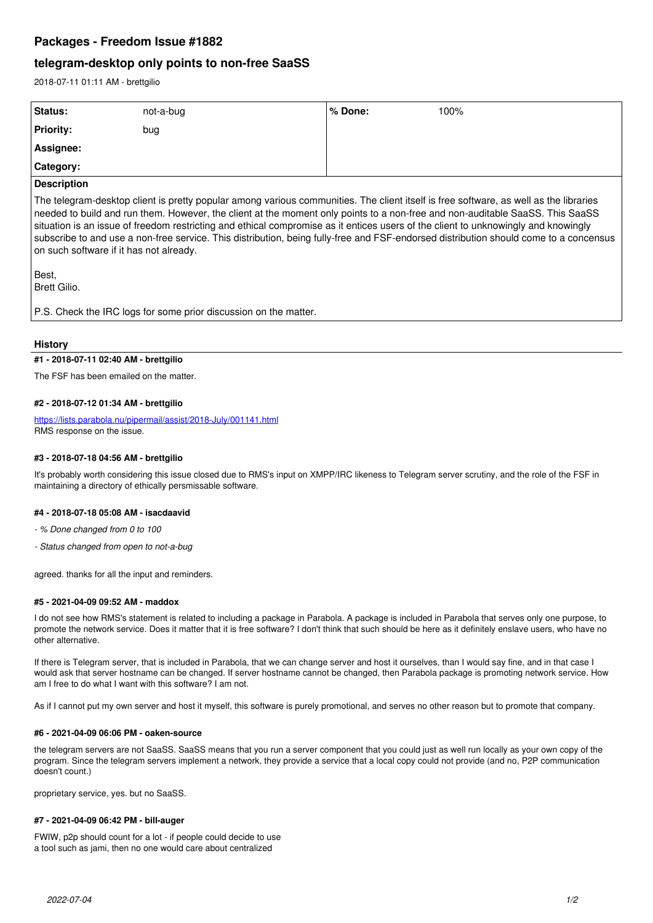## **Packages - Freedom Issue #1882**

# **telegram-desktop only points to non-free SaaSS**

2018-07-11 01:11 AM - brettgilio

| Status:                                                                                                                                                                                                                                                                                                                                                                                                                                                                                                                                                                                          | not-a-bug | $%$ Done: | 100% |
|--------------------------------------------------------------------------------------------------------------------------------------------------------------------------------------------------------------------------------------------------------------------------------------------------------------------------------------------------------------------------------------------------------------------------------------------------------------------------------------------------------------------------------------------------------------------------------------------------|-----------|-----------|------|
| <b>Priority:</b>                                                                                                                                                                                                                                                                                                                                                                                                                                                                                                                                                                                 | bug       |           |      |
| Assignee:                                                                                                                                                                                                                                                                                                                                                                                                                                                                                                                                                                                        |           |           |      |
| <b>Category:</b>                                                                                                                                                                                                                                                                                                                                                                                                                                                                                                                                                                                 |           |           |      |
| <b>Description</b>                                                                                                                                                                                                                                                                                                                                                                                                                                                                                                                                                                               |           |           |      |
| The telegram-desktop client is pretty popular among various communities. The client itself is free software, as well as the libraries<br>needed to build and run them. However, the client at the moment only points to a non-free and non-auditable SaaSS. This SaaSS<br>situation is an issue of freedom restricting and ethical compromise as it entices users of the client to unknowingly and knowingly<br>subscribe to and use a non-free service. This distribution, being fully-free and FSF-endorsed distribution should come to a concensus<br>on such software if it has not already. |           |           |      |
| Best,<br>Brett Gilio.                                                                                                                                                                                                                                                                                                                                                                                                                                                                                                                                                                            |           |           |      |
| P.S. Check the IRC logs for some prior discussion on the matter.                                                                                                                                                                                                                                                                                                                                                                                                                                                                                                                                 |           |           |      |

## **History**

## **#1 - 2018-07-11 02:40 AM - brettgilio**

The FSF has been emailed on the matter.

## **#2 - 2018-07-12 01:34 AM - brettgilio**

<https://lists.parabola.nu/pipermail/assist/2018-July/001141.html> RMS response on the issue.

## **#3 - 2018-07-18 04:56 AM - brettgilio**

It's probably worth considering this issue closed due to RMS's input on XMPP/IRC likeness to Telegram server scrutiny, and the role of the FSF in maintaining a directory of ethically persmissable software.

## **#4 - 2018-07-18 05:08 AM - isacdaavid**

*- % Done changed from 0 to 100*

*- Status changed from open to not-a-bug*

agreed. thanks for all the input and reminders.

## **#5 - 2021-04-09 09:52 AM - maddox**

I do not see how RMS's statement is related to including a package in Parabola. A package is included in Parabola that serves only one purpose, to promote the network service. Does it matter that it is free software? I don't think that such should be here as it definitely enslave users, who have no other alternative.

If there is Telegram server, that is included in Parabola, that we can change server and host it ourselves, than I would say fine, and in that case I would ask that server hostname can be changed. If server hostname cannot be changed, then Parabola package is promoting network service. How am I free to do what I want with this software? I am not.

As if I cannot put my own server and host it myself, this software is purely promotional, and serves no other reason but to promote that company.

#### **#6 - 2021-04-09 06:06 PM - oaken-source**

the telegram servers are not SaaSS. SaaSS means that you run a server component that you could just as well run locally as your own copy of the program. Since the telegram servers implement a network, they provide a service that a local copy could not provide (and no, P2P communication doesn't count.)

proprietary service, yes. but no SaaSS.

#### **#7 - 2021-04-09 06:42 PM - bill-auger**

FWIW, p2p should count for a lot - if people could decide to use a tool such as jami, then no one would care about centralized